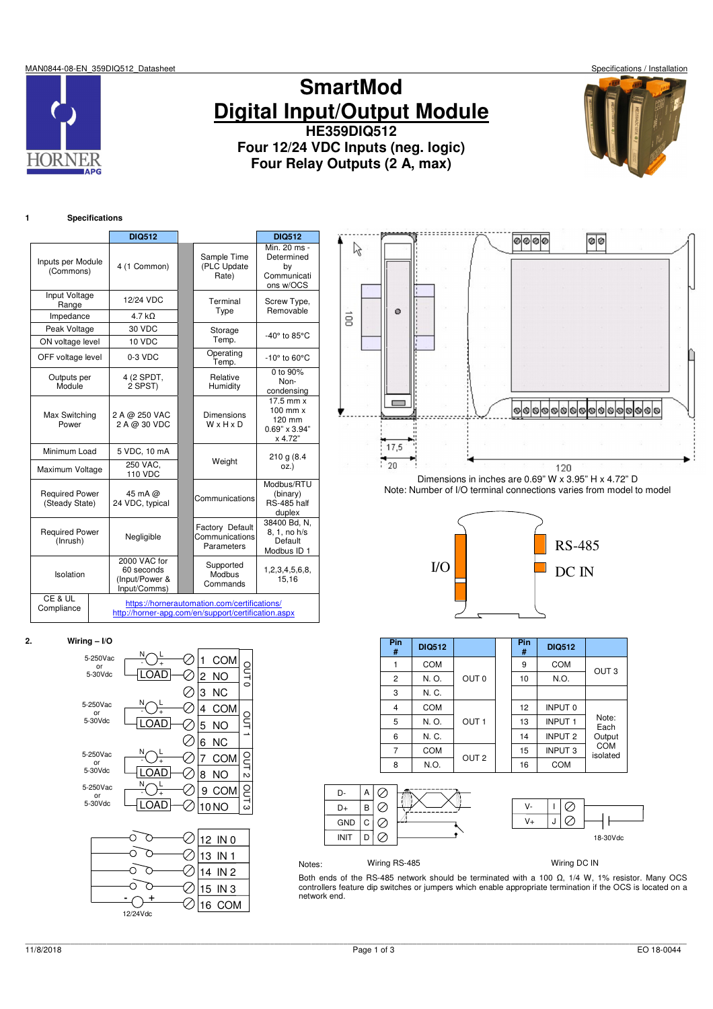MAN0844-08-EN\_359DIQ512\_Datasheet Specifications / Installation



# **SmartMod Digital Input/Output Module HE359DIQ512**

**Four 12/24 VDC Inputs (neg. logic) Four Relay Outputs (2 A, max)**



# **1 Specifications**

|                                         |                                                              | <b>DIQ512</b>                                       |                                                 | <b>DIQ512</b>                                                                       |
|-----------------------------------------|--------------------------------------------------------------|-----------------------------------------------------|-------------------------------------------------|-------------------------------------------------------------------------------------|
| Inputs per Module<br>(Commons)          |                                                              | 4 (1 Common)                                        | Sample Time<br>(PLC Update<br>Rate)             | Min. 20 ms -<br>Determined<br>bγ<br>Communicati<br>ons w/OCS                        |
| Input Voltage<br>Range                  |                                                              | 12/24 VDC                                           | Terminal<br>Type                                | Screw Type,<br>Removable                                                            |
| Impedance                               |                                                              | $4.7 k\Omega$                                       |                                                 |                                                                                     |
| Peak Voltage                            |                                                              | 30 VDC                                              | Storage                                         | -40 $^{\circ}$ to 85 $^{\circ}$ C                                                   |
| ON voltage level                        |                                                              | 10 VDC                                              | Temp.                                           |                                                                                     |
| OFF voltage level                       |                                                              | 0-3 VDC                                             | Operating<br>Temp.                              | $-10^\circ$ to 60 $^\circ$ C                                                        |
| Outputs per<br>Module                   |                                                              | 4 (2 SPDT,<br>2 SPST)                               | Relative<br>Humidity                            | 0 to 90%<br>Non-<br>condensing                                                      |
| Max Switching<br>Power                  |                                                              | 2 A @ 250 VAC<br>2 A @ 30 VDC                       | Dimensions<br>WxHxD                             | $\overline{17.5}$ mm x<br>$100$ mm $x$<br>120 mm<br>$0.69" \times 3.94"$<br>x 4.72" |
| Minimum Load                            |                                                              | 5 VDC, 10 mA                                        |                                                 | 210 g (8.4)                                                                         |
| Maximum Voltage                         |                                                              | 250 VAC.<br><b>110 VDC</b>                          | Weight                                          | OZ.                                                                                 |
| <b>Required Power</b><br>(Steady State) |                                                              | 45 mA @<br>24 VDC, typical                          | Communications                                  | Modbus/RTU<br>(binary)<br>RS-485 half<br>duplex                                     |
| <b>Required Power</b><br>(Inrush)       |                                                              | Negligible                                          | Factory Default<br>Communications<br>Parameters | 38400 Bd, N,<br>8, 1, no h/s<br>Default<br>Modbus ID 1                              |
| Isolation                               | 2000 VAC for<br>60 seconds<br>(Input/Power &<br>Input/Comms) | Supported<br>Modbus<br>Commands                     | 1,2,3,4,5,6,8,<br>15,16                         |                                                                                     |
| CE & UL<br>Compliance                   |                                                              | http://horner-apg.com/en/support/certification.aspx | https://hornerautomation.com/certifications/    |                                                                                     |



Dimensions in inches are 0.69" W x 3.95" H x 4.72" D Note: Number of I/O terminal connections varies from model to model



| Pin<br>#       | <b>DIQ512</b> |                  | Pin<br># | <b>DIQ512</b>  |                        |
|----------------|---------------|------------------|----------|----------------|------------------------|
|                | <b>COM</b>    |                  | 9        | <b>COM</b>     | OUT <sub>3</sub>       |
| $\overline{2}$ | N. O.         | OUT <sub>0</sub> | 10       | N.O.           |                        |
| 3              | N. C.         |                  |          |                |                        |
| 4              | <b>COM</b>    |                  | 12       | <b>INPUT 0</b> |                        |
| 5              | N. O.         | OUT <sub>1</sub> | 13       | <b>INPUT 1</b> | Note:<br>Each          |
| 6              | N. C.         |                  | 14       | <b>INPUT 2</b> | Output                 |
| 7              | <b>COM</b>    | OUT <sub>2</sub> | 15       | <b>INPUT 3</b> | <b>COM</b><br>isolated |
| 8              | N.O.          |                  | 16       | <b>COM</b>     |                        |



Notes: Wiring RS-485 Wiring DC IN

Both ends of the RS-485 network should be terminated with a 100 Ω, 1/4 W, 1% resistor. Many OCS controllers feature dip switches or jumpers which enable appropriate termination if the OCS is located on a network end.

| 2. | Wiring $-$ I/O |
|----|----------------|
|    |                |

| 5-250Vac<br>or | Ν | <b>COM</b><br>1       |       |
|----------------|---|-----------------------|-------|
| 5-30Vdc        | А | 2<br>NO               | ouro  |
|                |   | 3<br><b>NC</b>        |       |
| 5-250Vac<br>or | N | 4<br><b>COM</b>       |       |
| 5-30Vdc        | А | 5<br>NO               | СUТ   |
|                |   | <b>NC</b><br>6        |       |
| 5-250Vac<br>or |   | 7<br>COM              | OUT 2 |
| 5-30Vdc        |   | 8<br><b>NO</b>        |       |
| 5-250Vac<br>or |   | 9<br><b>COM</b>       | our3  |
| 5-30Vdc        | A | 10 <sub>NO</sub>      |       |
|                |   |                       |       |
|                |   | 12 IN 0               |       |
|                |   | IN <sub>1</sub><br>13 |       |
|                |   | IN <sub>2</sub><br>4  |       |

**- +** 12/24Vdc

15 IN 3 16 COM

⊘  $\oslash$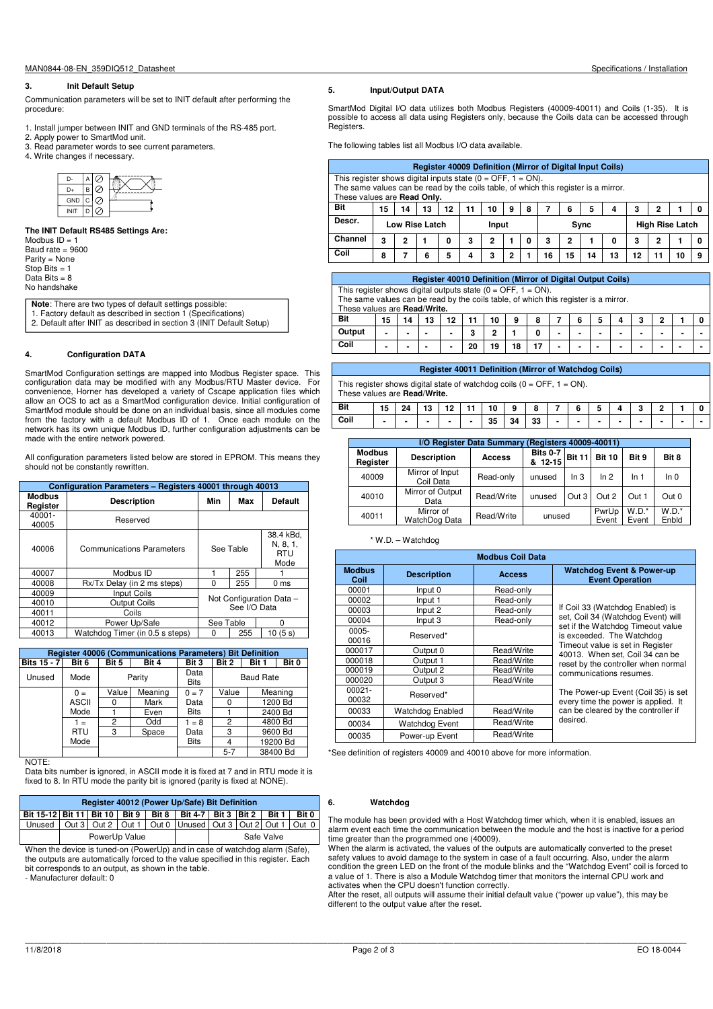### **3. Init Default Setup**

Communication parameters will be set to INIT default after performing the procedure:

- 1. Install jumper between INIT and GND terminals of the RS-485 port.
- 2. Apply power to SmartMod unit.
- 3. Read parameter words to see current parameters.
- 4. Write changes if necessary.



#### **The INIT Default RS485 Settings Are:**

Modbus  $ID = 1$ Baud rate = 9600 Parity = None Stop Bits  $= 1$ Data Bits  $= 8$ No handshake

**Note**: There are two types of default settings possible:<br>1. Factory default as described in section 1 (Specifications) 2. Default after INIT as described in section 3 (INIT Default Setup)

#### **4. Configuration DATA**

SmartMod Configuration settings are mapped into Modbus Register space. This configuration data may be modified with any Modbus/RTU Master device. For convenience, Horner has developed a variety of Cscape application files which allow an OCS to act as a SmartMod configuration device. Initial configuration of SmartMod module should be done on an individual basis, since all modules come from the factory with a default Modbus ID of 1. Once each module on the network has its own unique Modbus ID, further configuration adjustments can be made with the entire network powered.

All configuration parameters listed below are stored in EPROM. This means they should not be constantly rewritten.

|                           | Configuration Parameters - Registers 40001 through 40013 |                                          |           |                                             |  |  |  |  |  |  |  |  |
|---------------------------|----------------------------------------------------------|------------------------------------------|-----------|---------------------------------------------|--|--|--|--|--|--|--|--|
| <b>Modbus</b><br>Register | <b>Description</b>                                       | Min                                      | Max       | <b>Default</b>                              |  |  |  |  |  |  |  |  |
| 40001-<br>40005           | Reserved                                                 |                                          |           |                                             |  |  |  |  |  |  |  |  |
| 40006                     | <b>Communications Parameters</b>                         |                                          | See Table | 38.4 kBd.<br>N, 8, 1,<br><b>RTU</b><br>Mode |  |  |  |  |  |  |  |  |
| 40007                     | Modbus ID                                                |                                          | 255       |                                             |  |  |  |  |  |  |  |  |
| 40008                     | Rx/Tx Delay (in 2 ms steps)                              | O                                        | 255       | 0 <sub>ms</sub>                             |  |  |  |  |  |  |  |  |
| 40009                     | Input Coils                                              |                                          |           |                                             |  |  |  |  |  |  |  |  |
| 40010                     | <b>Output Coils</b>                                      | Not Configuration Data -<br>See I/O Data |           |                                             |  |  |  |  |  |  |  |  |
| 40011                     | Coils                                                    |                                          |           |                                             |  |  |  |  |  |  |  |  |
| 40012                     | Power Up/Safe                                            | See Table                                |           | ŋ                                           |  |  |  |  |  |  |  |  |
| 40013                     | Watchdog Timer (in 0.5 s steps)                          | ŋ                                        | 255       | 10 (5 s)                                    |  |  |  |  |  |  |  |  |

|                    | <b>Register 40006 (Communications Parameters) Bit Definition</b> |       |         |                     |                  |       |          |  |  |  |  |  |  |
|--------------------|------------------------------------------------------------------|-------|---------|---------------------|------------------|-------|----------|--|--|--|--|--|--|
| <b>Bits 15 - 7</b> | Bit 6                                                            | Bit 5 | Bit 4   | Bit 3               | Bit 2            | Bit 1 | Bit 0    |  |  |  |  |  |  |
| Unused             | Mode                                                             |       | Parity  | Data<br><b>Bits</b> | <b>Baud Rate</b> |       |          |  |  |  |  |  |  |
|                    | $0 =$                                                            | Value | Meaning | $0 = 7$             | Value            |       | Meaning  |  |  |  |  |  |  |
|                    | <b>ASCII</b>                                                     | 0     | Mark    | Data                | 0                |       | 1200 Bd  |  |  |  |  |  |  |
|                    | Mode                                                             |       | Even    | <b>Bits</b>         |                  |       | 2400 Bd  |  |  |  |  |  |  |
|                    | $1 =$                                                            | 2     | Odd     | $1 = 8$             | 2                |       | 4800 Bd  |  |  |  |  |  |  |
|                    | <b>RTU</b>                                                       | 3     | Space   | Data                | 3                |       | 9600 Bd  |  |  |  |  |  |  |
|                    | Mode                                                             |       |         | <b>Bits</b>         | 4                |       | 19200 Bd |  |  |  |  |  |  |
|                    |                                                                  |       |         |                     | $5 - 7$          |       | 38400 Bd |  |  |  |  |  |  |

NOTE:

Data bits number is ignored, in ASCII mode it is fixed at 7 and in RTU mode it is Fixed to 8. In RTU mode the parity bit is ignored (parity is fixed at NONE).

|                                                                                 | Register 40012 (Power Up/Safe) Bit Definition |               |  |  |  |  |            |  |  |  |
|---------------------------------------------------------------------------------|-----------------------------------------------|---------------|--|--|--|--|------------|--|--|--|
| Bit 15-12 Bit 11 Bit 10 Bit 9   Bit 8   Bit 4-7   Bit 3   Bit 2   Bit 1   Bit 0 |                                               |               |  |  |  |  |            |  |  |  |
| Unused   Out 3   Out 2   Out 1   Out 0   Unused   Out 3   Out 2   Out 1   Out 0 |                                               |               |  |  |  |  |            |  |  |  |
|                                                                                 |                                               | PowerUp Value |  |  |  |  | Safe Valve |  |  |  |

When the device is tuned-on (PowerUp) and in case of watchdog alarm (Safe), the outputs are automatically forced to the value specified in this register. Each bit corresponds to an output, as shown in the table.

- Manufacturer default: 0

## **5. Input/Output DATA**

SmartMod Digital I/O data utilizes both Modbus Registers (40009-40011) and Coils (1-35). It is possible to access all data using Registers only, because the Coils data can be accessed through Registers.

The following tables list all Modbus I/O data available.

|         | Register 40009 Definition (Mirror of Digital Input Coils)                                                                                             |    |    |    |    |    |   |   |    |    |    |    |    |   |    |  |
|---------|-------------------------------------------------------------------------------------------------------------------------------------------------------|----|----|----|----|----|---|---|----|----|----|----|----|---|----|--|
|         | This register shows digital inputs state $(0 = OFF, 1 = ON)$ .<br>The same values can be read by the coils table, of which this register is a mirror. |    |    |    |    |    |   |   |    |    |    |    |    |   |    |  |
|         | These values are Read Only.                                                                                                                           |    |    |    |    |    |   |   |    |    |    |    |    |   |    |  |
| Bit     | 15                                                                                                                                                    | 14 | 13 | 12 | 11 | 10 | 9 | 8 |    | 6  | 5  | 4  | 3  | 2 |    |  |
| Descr.  | Low Rise Latch<br><b>High Rise Latch</b><br>Sync<br>Input                                                                                             |    |    |    |    |    |   |   |    |    |    |    |    |   |    |  |
| Channel | з                                                                                                                                                     | 2  |    | 0  | 3  | 2  |   | 0 | з  | 2  |    | 0  | 3  | 2 |    |  |
| Coil    | 8                                                                                                                                                     |    | 6  | 5  | 4  | 3  | 2 |   | 16 | 15 | 14 | 13 | 12 |   | 10 |  |

|        | <b>Register 40010 Definition (Mirror of Digital Output Coils)</b>                   |    |    |                          |    |    |    |   |   |                |   |   |   |   |                |  |
|--------|-------------------------------------------------------------------------------------|----|----|--------------------------|----|----|----|---|---|----------------|---|---|---|---|----------------|--|
|        | This register shows digital outputs state ( $0 =$ OFF, $1 =$ ON).                   |    |    |                          |    |    |    |   |   |                |   |   |   |   |                |  |
|        | The same values can be read by the coils table, of which this register is a mirror. |    |    |                          |    |    |    |   |   |                |   |   |   |   |                |  |
|        | These values are Read/Write.                                                        |    |    |                          |    |    |    |   |   |                |   |   |   |   |                |  |
| Bit    | 15                                                                                  | 14 | 13 | 12                       | 11 | 10 | 9  | 8 |   | 6              | 5 | 4 | 3 | 2 |                |  |
| Output | -                                                                                   | -  |    | $\overline{\phantom{0}}$ | 3  | 2  |    | O | - | $\blacksquare$ | - |   | - | - | $\blacksquare$ |  |
| Coil   | -                                                                                   |    |    | $\overline{\phantom{0}}$ | 20 | 19 | 18 |   | - | $\blacksquare$ |   |   | - |   |                |  |
|        |                                                                                     |    |    |                          |    |    |    |   |   |                |   |   |   |   |                |  |

|                                                                                                           |                |  |                |    |   | <b>Register 40011 Definition (Mirror of Watchdog Coils)</b> |    |    |                |                |                          |        |  |  |
|-----------------------------------------------------------------------------------------------------------|----------------|--|----------------|----|---|-------------------------------------------------------------|----|----|----------------|----------------|--------------------------|--------|--|--|
| This register shows digital state of watchdog coils $(0 = OFF, 1 = ON)$ .<br>These values are Read/Write. |                |  |                |    |   |                                                             |    |    |                |                |                          |        |  |  |
| <b>Bit</b>                                                                                                | 15             |  |                | 12 |   | 10                                                          | 9  | 8  |                | 6              |                          |        |  |  |
| Coil                                                                                                      | $\blacksquare$ |  | $\blacksquare$ | ٠  | ٠ | 35                                                          | 34 | 33 | $\blacksquare$ | $\blacksquare$ | $\overline{\phantom{a}}$ | $\sim$ |  |  |

|                           | I/O Register Data Summary<br>(Registers 40009-40011) |            |                            |               |                |                  |                  |  |  |  |  |  |
|---------------------------|------------------------------------------------------|------------|----------------------------|---------------|----------------|------------------|------------------|--|--|--|--|--|
| <b>Modbus</b><br>Register | <b>Description</b>                                   | Access     | <b>Bits 0-7</b><br>& 12-15 | <b>Bit 11</b> | <b>Bit 10</b>  | Bit 9            | Bit 8            |  |  |  |  |  |
| 40009                     | Mirror of Input<br>Coil Data                         | Read-only  | unused                     | In 3          | ln 2           | ln 1             | ln 0             |  |  |  |  |  |
| 40010                     | Mirror of Output<br>Data                             | Read/Write | unused                     | Out 3         | Out 2          | Out 1            | Out 0            |  |  |  |  |  |
| 40011                     | Mirror of<br>WatchDog Data                           | Read/Write | unused                     |               | PwrUp<br>Event | $W.D.*$<br>Event | $W.D.*$<br>Enbld |  |  |  |  |  |

#### \* W.D. – Watchdog

|                       |                    | <b>Modbus Coil Data</b> |                                                                                                    |
|-----------------------|--------------------|-------------------------|----------------------------------------------------------------------------------------------------|
| <b>Modbus</b><br>Coil | <b>Description</b> | <b>Access</b>           | <b>Watchdog Event &amp; Power-up</b><br><b>Event Operation</b>                                     |
| 00001                 | Input 0            | Read-only               |                                                                                                    |
| 00002                 | Input 1            | Read-only               |                                                                                                    |
| 00003                 | Input 2            | Read-only               | If Coil 33 (Watchdog Enabled) is                                                                   |
| 00004                 | Input 3            | Read-only               | set, Coil 34 (Watchdog Event) will                                                                 |
| $0005 -$<br>00016     | Reserved*          |                         | set if the Watchdog Timeout value<br>is exceeded. The Watchdog<br>Timeout value is set in Register |
| 000017                | Output 0           | Read/Write              | 40013. When set, Coil 34 can be                                                                    |
| 000018                | Output 1           | Read/Write              | reset by the controller when normal                                                                |
| 000019                | Output 2           | Read/Write              | communications resumes.                                                                            |
| 000020                | Output 3           | Read/Write              |                                                                                                    |
| $00021 -$<br>00032    | Reserved*          |                         | The Power-up Event (Coil 35) is set<br>every time the power is applied. It                         |
| 00033                 | Watchdog Enabled   | Read/Write              | can be cleared by the controller if                                                                |
| 00034                 | Watchdog Event     | Read/Write              | desired.                                                                                           |
| 00035                 | Power-up Event     | Read/Write              |                                                                                                    |

\*See definition of registers 40009 and 40010 above for more information.

#### **6. Watchdog**

The module has been provided with a Host Watchdog timer which, when it is enabled, issues an alarm event each time the communication between the module and the host is inactive for a period time greater than the programmed one (40009). When the alarm is activated, the values of the outputs are automatically converted to the preset

safety values to avoid damage to the system in case of a fault occurring. Also, under the alarm condition the green LED on the front of the module blinks and the "Watchdog Event" coil is forced to a value of 1. There is also a Module Watchdog timer that monitors the internal CPU work and activates when the CPU doesn't function correctly.

After the reset, all outputs will assume their initial default value ("power up value"), this may be different to the output value after the reset.